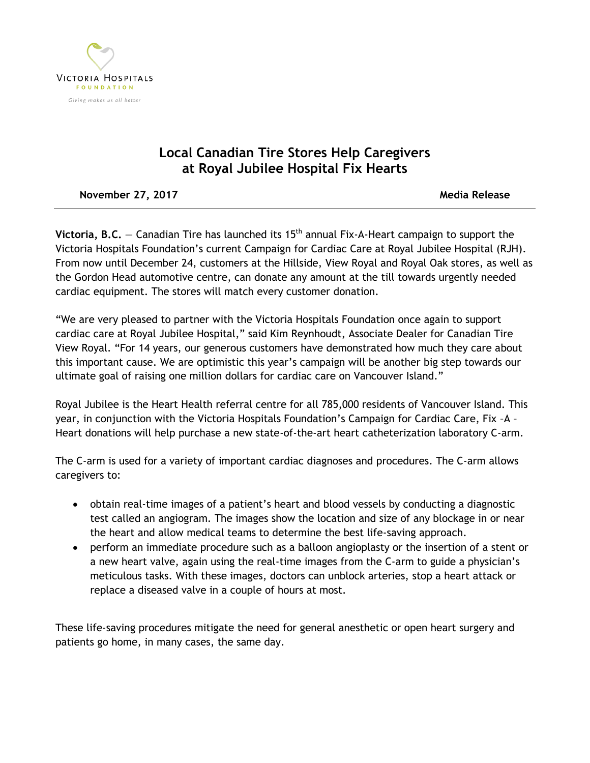

## **Local Canadian Tire Stores Help Caregivers at Royal Jubilee Hospital Fix Hearts**

**November 27, 2017** Movember 27, 2017

**Victoria, B.C.** – Canadian Tire has launched its 15<sup>th</sup> annual Fix-A-Heart campaign to support the Victoria Hospitals Foundation's current Campaign for Cardiac Care at Royal Jubilee Hospital (RJH). From now until December 24, customers at the Hillside, View Royal and Royal Oak stores, as well as the Gordon Head automotive centre, can donate any amount at the till towards urgently needed cardiac equipment. The stores will match every customer donation.

"We are very pleased to partner with the Victoria Hospitals Foundation once again to support cardiac care at Royal Jubilee Hospital," said Kim Reynhoudt, Associate Dealer for Canadian Tire View Royal. "For 14 years, our generous customers have demonstrated how much they care about this important cause. We are optimistic this year's campaign will be another big step towards our ultimate goal of raising one million dollars for cardiac care on Vancouver Island."

Royal Jubilee is the Heart Health referral centre for all 785,000 residents of Vancouver Island. This year, in conjunction with the Victoria Hospitals Foundation's Campaign for Cardiac Care, Fix –A – Heart donations will help purchase a new state-of-the-art heart catheterization laboratory C-arm.

The C-arm is used for a variety of important cardiac diagnoses and procedures. The C-arm allows caregivers to:

- obtain real-time images of a patient's heart and blood vessels by conducting a diagnostic test called an angiogram. The images show the location and size of any blockage in or near the heart and allow medical teams to determine the best life-saving approach.
- perform an immediate procedure such as a balloon angioplasty or the insertion of a stent or a new heart valve, again using the real-time images from the C-arm to guide a physician's meticulous tasks. With these images, doctors can unblock arteries, stop a heart attack or replace a diseased valve in a couple of hours at most.

These life-saving procedures mitigate the need for general anesthetic or open heart surgery and patients go home, in many cases, the same day.